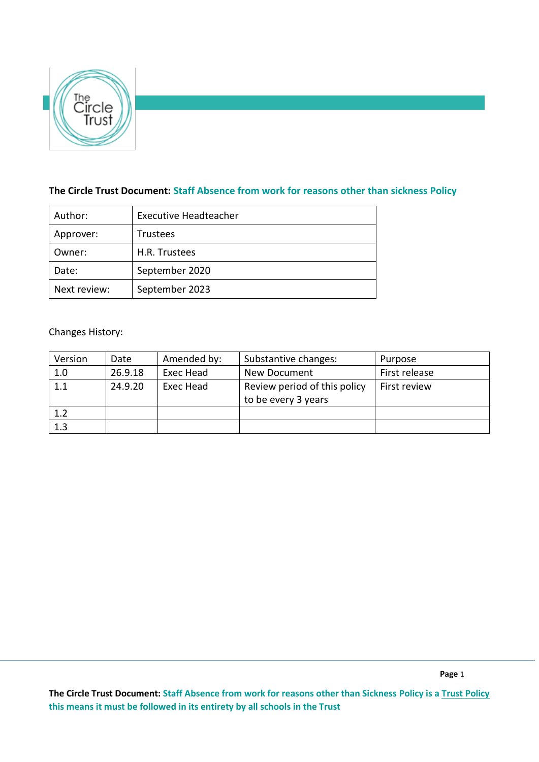

# **The Circle Trust Document: Staff Absence from work for reasons other than sickness Policy**

| Author:      | <b>Executive Headteacher</b> |  |  |
|--------------|------------------------------|--|--|
| Approver:    | <b>Trustees</b>              |  |  |
| Owner:       | H.R. Trustees                |  |  |
| Date:        | September 2020               |  |  |
| Next review: | September 2023               |  |  |

# Changes History:

| Version | Date    | Amended by: | Substantive changes:                                | Purpose       |
|---------|---------|-------------|-----------------------------------------------------|---------------|
| 1.0     | 26.9.18 | Exec Head   | New Document                                        | First release |
| 1.1     | 24.9.20 | Exec Head   | Review period of this policy<br>to be every 3 years | First review  |
| 1.2     |         |             |                                                     |               |
| 1.3     |         |             |                                                     |               |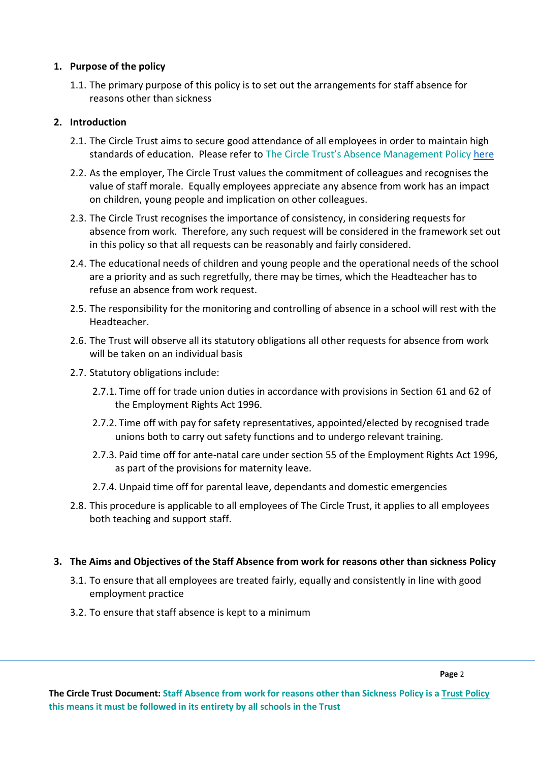### **1. Purpose of the policy**

1.1. The primary purpose of this policy is to set out the arrangements for staff absence for reasons other than sickness

# **2. Introduction**

- 2.1. The Circle Trust aims to secure good attendance of all employees in order to maintain high standards of education. Please refer to The Circle Trust's Absence Management Policy [here](https://thecircletrust.sharepoint.com/:w:/r/_layouts/15/Doc.aspx?sourcedoc=%7BE1B47D1A-E029-4399-B587-A91605A984CA%7D&file=The%20Circle%20Trust%20Staff%20Absence%20Management%20Policy%202018.docx&action=default&mobileredirect=true)
- 2.2. As the employer, The Circle Trust values the commitment of colleagues and recognises the value of staff morale. Equally employees appreciate any absence from work has an impact on children, young people and implication on other colleagues.
- 2.3. The Circle Trust recognises the importance of consistency, in considering requests for absence from work. Therefore, any such request will be considered in the framework set out in this policy so that all requests can be reasonably and fairly considered.
- 2.4. The educational needs of children and young people and the operational needs of the school are a priority and as such regretfully, there may be times, which the Headteacher has to refuse an absence from work request.
- 2.5. The responsibility for the monitoring and controlling of absence in a school will rest with the Headteacher.
- 2.6. The Trust will observe all its statutory obligations all other requests for absence from work will be taken on an individual basis
- 2.7. Statutory obligations include:
	- 2.7.1. Time off for trade union duties in accordance with provisions in Section 61 and 62 of the Employment Rights Act 1996.
	- 2.7.2. Time off with pay for safety representatives, appointed/elected by recognised trade unions both to carry out safety functions and to undergo relevant training.
	- 2.7.3. Paid time off for ante-natal care under section 55 of the Employment Rights Act 1996, as part of the provisions for maternity leave.
	- 2.7.4. Unpaid time off for parental leave, dependants and domestic emergencies
- 2.8. This procedure is applicable to all employees of The Circle Trust, it applies to all employees both teaching and support staff.

## **3. The Aims and Objectives of the Staff Absence from work for reasons other than sickness Policy**

- 3.1. To ensure that all employees are treated fairly, equally and consistently in line with good employment practice
- 3.2. To ensure that staff absence is kept to a minimum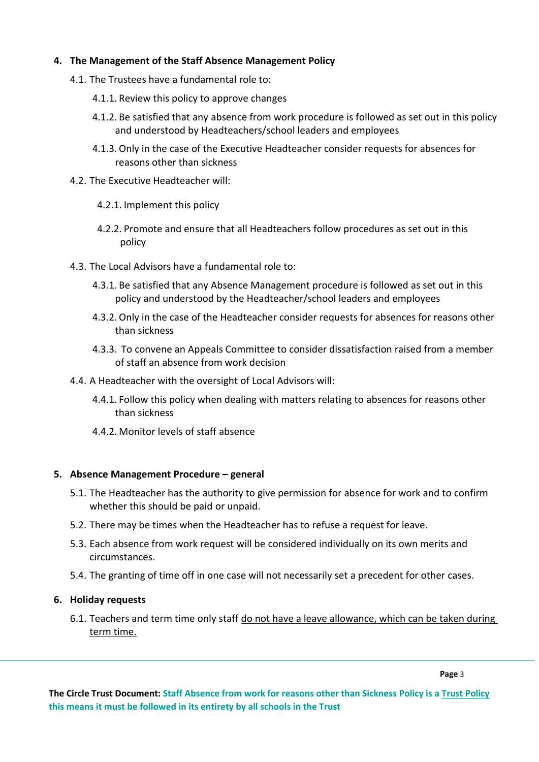## **4. The Management of the Staff Absence Management Policy**

- 4.1. The Trustees have a fundamental role to:
	- 4.1.1. Review this policy to approve changes
	- 4.1.2. Be satisfied that any absence from work procedure is followed as set out in this policy and understood by Headteachers/school leaders and employees
	- 4.1.3. Only in the case of the Executive Headteacher consider requests for absences for reasons other than sickness
- 4.2. The Executive Headteacher will:
	- 4.2.1. Implement this policy
	- 4.2.2. Promote and ensure that all Headteachers follow procedures as set out in this policy
- 4.3. The Local Advisors have a fundamental role to:
	- 4.3.1. Be satisfied that any Absence Management procedure is followed as set out in this policy and understood by the Headteacher/school leaders and employees
	- 4.3.2. Only in the case of the Headteacher consider requests for absences for reasons other than sickness
	- 4.3.3. To convene an Appeals Committee to consider dissatisfaction raised from a member of staff an absence from work decision
- 4.4. A Headteacher with the oversight of Local Advisors will:
	- 4.4.1. Follow this policy when dealing with matters relating to absences for reasons other than sickness
	- 4.4.2. Monitor levels of staff absence

#### **5. Absence Management Procedure – general**

- 5.1. The Headteacher has the authority to give permission for absence for work and to confirm whether this should be paid or unpaid.
- 5.2. There may be times when the Headteacher has to refuse a request for leave.
- 5.3. Each absence from work request will be considered individually on its own merits and circumstances.
- 5.4. The granting of time off in one case will not necessarily set a precedent for other cases.

#### **6. Holiday requests**

6.1. Teachers and term time only staff do not have a leave allowance, which can be taken during term time.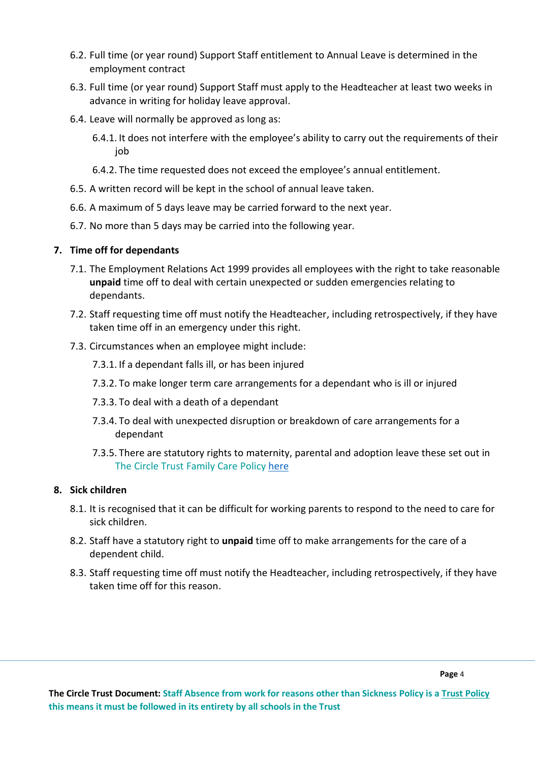- 6.2. Full time (or year round) Support Staff entitlement to Annual Leave is determined in the employment contract
- 6.3. Full time (or year round) Support Staff must apply to the Headteacher at least two weeks in advance in writing for holiday leave approval.
- 6.4. Leave will normally be approved as long as:
	- 6.4.1. It does not interfere with the employee's ability to carry out the requirements of their job
	- 6.4.2. The time requested does not exceed the employee's annual entitlement.
- 6.5. A written record will be kept in the school of annual leave taken.
- 6.6. A maximum of 5 days leave may be carried forward to the next year.
- 6.7. No more than 5 days may be carried into the following year.

### **7. Time off for dependants**

- 7.1. The Employment Relations Act 1999 provides all employees with the right to take reasonable **unpaid** time off to deal with certain unexpected or sudden emergencies relating to dependants.
- 7.2. Staff requesting time off must notify the Headteacher, including retrospectively, if they have taken time off in an emergency under this right.
- 7.3. Circumstances when an employee might include:
	- 7.3.1. If a dependant falls ill, or has been injured
	- 7.3.2. To make longer term care arrangements for a dependant who is ill or injured
	- 7.3.3. To deal with a death of a dependant
	- 7.3.4. To deal with unexpected disruption or breakdown of care arrangements for a dependant
	- 7.3.5. There are statutory rights to maternity, parental and adoption leave these set out in The Circle Trust Family Care Policy [here](https://thecircletrust.sharepoint.com/:w:/g/EU0m2-M9OSdMuHkc-O7RGxQB5zWYlGaxgTGKPqwNam5myA?e=26aByp)

### **8. Sick children**

- 8.1. It is recognised that it can be difficult for working parents to respond to the need to care for sick children.
- 8.2. Staff have a statutory right to **unpaid** time off to make arrangements for the care of a dependent child.
- 8.3. Staff requesting time off must notify the Headteacher, including retrospectively, if they have taken time off for this reason.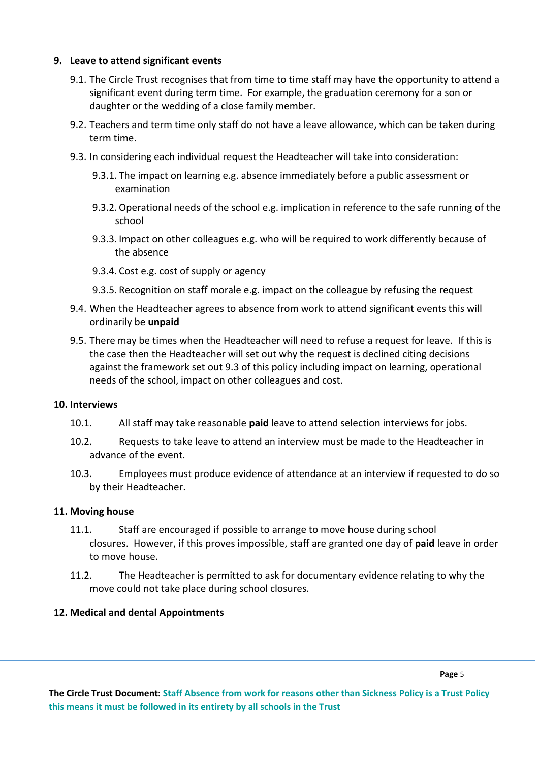### **9. Leave to attend significant events**

- 9.1. The Circle Trust recognises that from time to time staff may have the opportunity to attend a significant event during term time. For example, the graduation ceremony for a son or daughter or the wedding of a close family member.
- 9.2. Teachers and term time only staff do not have a leave allowance, which can be taken during term time.
- 9.3. In considering each individual request the Headteacher will take into consideration:
	- 9.3.1. The impact on learning e.g. absence immediately before a public assessment or examination
	- 9.3.2. Operational needs of the school e.g. implication in reference to the safe running of the school
	- 9.3.3. Impact on other colleagues e.g. who will be required to work differently because of the absence
	- 9.3.4. Cost e.g. cost of supply or agency
	- 9.3.5. Recognition on staff morale e.g. impact on the colleague by refusing the request
- 9.4. When the Headteacher agrees to absence from work to attend significant events this will ordinarily be **unpaid**
- 9.5. There may be times when the Headteacher will need to refuse a request for leave. If this is the case then the Headteacher will set out why the request is declined citing decisions against the framework set out 9.3 of this policy including impact on learning, operational needs of the school, impact on other colleagues and cost.

#### **10. Interviews**

- 10.1. All staff may take reasonable **paid** leave to attend selection interviews for jobs.
- 10.2. Requests to take leave to attend an interview must be made to the Headteacher in advance of the event.
- 10.3. Employees must produce evidence of attendance at an interview if requested to do so by their Headteacher.

#### **11. Moving house**

- 11.1. Staff are encouraged if possible to arrange to move house during school closures. However, if this proves impossible, staff are granted one day of **paid** leave in order to move house.
- 11.2. The Headteacher is permitted to ask for documentary evidence relating to why the move could not take place during school closures.

## **12. Medical and dental Appointments**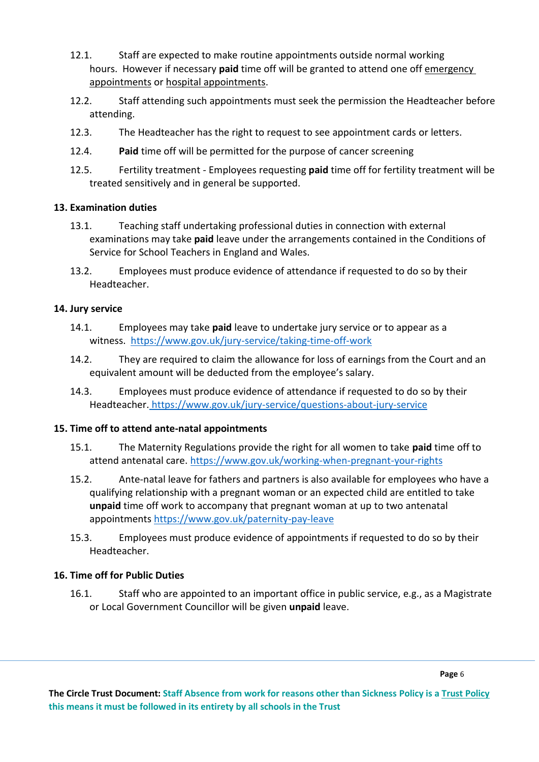- 12.1. Staff are expected to make routine appointments outside normal working hours. However if necessary **paid** time off will be granted to attend one off emergency appointments or hospital appointments.
- 12.2. Staff attending such appointments must seek the permission the Headteacher before attending.
- 12.3. The Headteacher has the right to request to see appointment cards or letters.
- 12.4. **Paid** time off will be permitted for the purpose of cancer screening
- 12.5. Fertility treatment *-* Employees requesting **paid** time off for fertility treatment will be treated sensitively and in general be supported.

### **13. Examination duties**

- 13.1. Teaching staff undertaking professional duties in connection with external examinations may take **paid** leave under the arrangements contained in the Conditions of Service for School Teachers in England and Wales.
- 13.2. Employees must produce evidence of attendance if requested to do so by their Headteacher.

#### **14. Jury service**

- 14.1. Employees may take **paid** leave to undertake jury service or to appear as a witness. <https://www.gov.uk/jury-service/taking-time-off-work>
- 14.2. They are required to claim the allowance for loss of earnings from the Court and an equivalent amount will be deducted from the employee's salary.
- 14.3. Employees must produce evidence of attendance if requested to do so by their Headteacher. <https://www.gov.uk/jury-service/questions-about-jury-service>

#### **15. Time off to attend ante-natal appointments**

- 15.1. The Maternity Regulations provide the right for all women to take **paid** time off to attend antenatal care.<https://www.gov.uk/working-when-pregnant-your-rights>
- 15.2. Ante-natal leave for fathers and partners is also available for employees who have a qualifying relationship with a pregnant woman or an expected child are entitled to take **unpaid** time off work to accompany that pregnant woman at up to two antenatal appointments<https://www.gov.uk/paternity-pay-leave>
- 15.3. Employees must produce evidence of appointments if requested to do so by their Headteacher.

## **16. Time off for Public Duties**

16.1. Staff who are appointed to an important office in public service, e.g., as a Magistrate or Local Government Councillor will be given **unpaid** leave.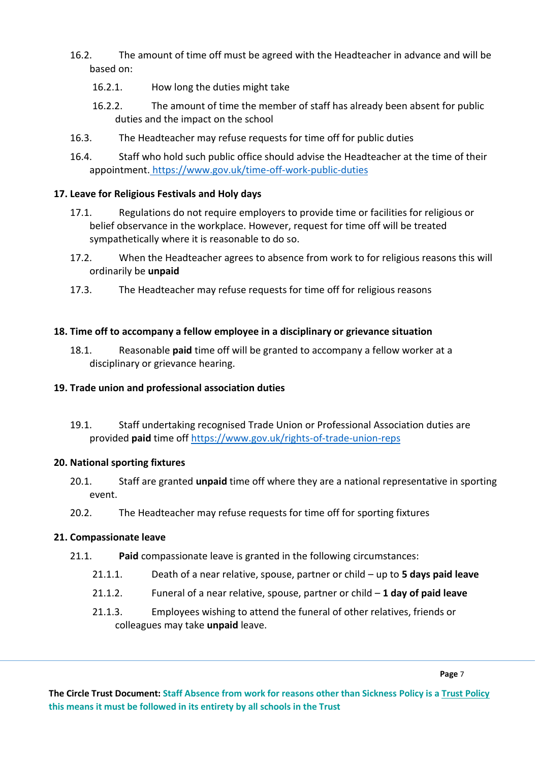- 16.2. The amount of time off must be agreed with the Headteacher in advance and will be based on:
	- 16.2.1. How long the duties might take
	- 16.2.2. The amount of time the member of staff has already been absent for public duties and the impact on the school
- 16.3. The Headteacher may refuse requests for time off for public duties
- 16.4. Staff who hold such public office should advise the Headteacher at the time of their appointment. <https://www.gov.uk/time-off-work-public-duties>

# **17. Leave for Religious Festivals and Holy days**

- 17.1. Regulations do not require employers to provide time or facilities for religious or belief observance in the workplace. However, request for time off will be treated sympathetically where it is reasonable to do so.
- 17.2. When the Headteacher agrees to absence from work to for religious reasons this will ordinarily be **unpaid**
- 17.3. The Headteacher may refuse requests for time off for religious reasons

# **18. Time off to accompany a fellow employee in a disciplinary or grievance situation**

18.1. Reasonable **paid** time off will be granted to accompany a fellow worker at a disciplinary or grievance hearing.

## **19. Trade union and professional association duties**

19.1. Staff undertaking recognised Trade Union or Professional Association duties are provided **paid** time off<https://www.gov.uk/rights-of-trade-union-reps>

## **20. National sporting fixtures**

- 20.1. Staff are granted **unpaid** time off where they are a national representative in sporting event.
- 20.2. The Headteacher may refuse requests for time off for sporting fixtures

# **21. Compassionate leave**

- 21.1. **Paid** compassionate leave is granted in the following circumstances:
	- 21.1.1. Death of a near relative, spouse, partner or child up to **5 days paid leave**
	- 21.1.2. Funeral of a near relative, spouse, partner or child **1 day of paid leave**
	- 21.1.3. Employees wishing to attend the funeral of other relatives, friends or colleagues may take **unpaid** leave.

**The Circle Trust Document: Staff Absence from work for reasons other than Sickness Policy is a Trust Policy this means it must be followed in its entirety by all schools in the Trust**